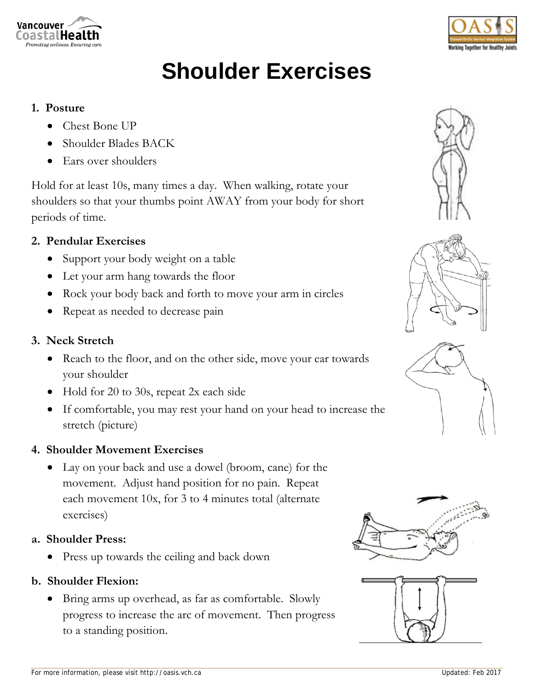



# **Shoulder Exercises**

#### **1. Posture**

- Chest Bone UP
- Shoulder Blades BACK
- Ears over shoulders

Hold for at least 10s, many times a day. When walking, rotate your shoulders so that your thumbs point AWAY from your body for short periods of time.

## **2. Pendular Exercises**

- Support your body weight on a table
- Let your arm hang towards the floor
- Rock your body back and forth to move your arm in circles
- Repeat as needed to decrease pain

## **3. Neck Stretch**

- Reach to the floor, and on the other side, move your ear towards your shoulder
- Hold for 20 to 30s, repeat 2x each side
- If comfortable, you may rest your hand on your head to increase the stretch (picture)

## **4. Shoulder Movement Exercises**

 Lay on your back and use a dowel (broom, cane) for the movement. Adjust hand position for no pain. Repeat each movement 10x, for 3 to 4 minutes total (alternate exercises)

## **a. Shoulder Press:**

Press up towards the ceiling and back down

# **b. Shoulder Flexion:**

 Bring arms up overhead, as far as comfortable. Slowly progress to increase the arc of movement. Then progress to a standing position.